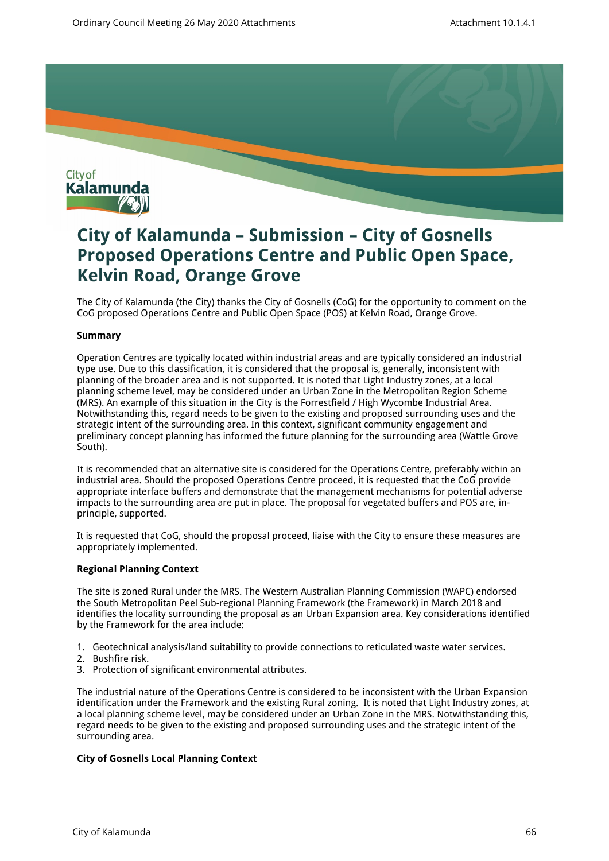

# **City of Kalamunda – Submission – City of Gosnells Proposed Operations Centre and Public Open Space, Kelvin Road, Orange Grove**

The City of Kalamunda (the City) thanks the City of Gosnells (CoG) for the opportunity to comment on the CoG proposed Operations Centre and Public Open Space (POS) at Kelvin Road, Orange Grove.

## **Summary**

Operation Centres are typically located within industrial areas and are typically considered an industrial type use. Due to this classification, it is considered that the proposal is, generally, inconsistent with planning of the broader area and is not supported. It is noted that Light Industry zones, at a local planning scheme level, may be considered under an Urban Zone in the Metropolitan Region Scheme (MRS). An example of this situation in the City is the Forrestfield / High Wycombe Industrial Area. Notwithstanding this, regard needs to be given to the existing and proposed surrounding uses and the strategic intent of the surrounding area. In this context, significant community engagement and preliminary concept planning has informed the future planning for the surrounding area (Wattle Grove South).

It is recommended that an alternative site is considered for the Operations Centre, preferably within an industrial area. Should the proposed Operations Centre proceed, it is requested that the CoG provide appropriate interface buffers and demonstrate that the management mechanisms for potential adverse impacts to the surrounding area are put in place. The proposal for vegetated buffers and POS are, inprinciple, supported.

It is requested that CoG, should the proposal proceed, liaise with the City to ensure these measures are appropriately implemented.

# **Regional Planning Context**

The site is zoned Rural under the MRS. The Western Australian Planning Commission (WAPC) endorsed the South Metropolitan Peel Sub-regional Planning Framework (the Framework) in March 2018 and identifies the locality surrounding the proposal as an Urban Expansion area. Key considerations identified by the Framework for the area include:

- 1. Geotechnical analysis/land suitability to provide connections to reticulated waste water services.
- 2. Bushfire risk.
- 3. Protection of significant environmental attributes.

The industrial nature of the Operations Centre is considered to be inconsistent with the Urban Expansion identification under the Framework and the existing Rural zoning. It is noted that Light Industry zones, at a local planning scheme level, may be considered under an Urban Zone in the MRS. Notwithstanding this, regard needs to be given to the existing and proposed surrounding uses and the strategic intent of the surrounding area.

## **City of Gosnells Local Planning Context**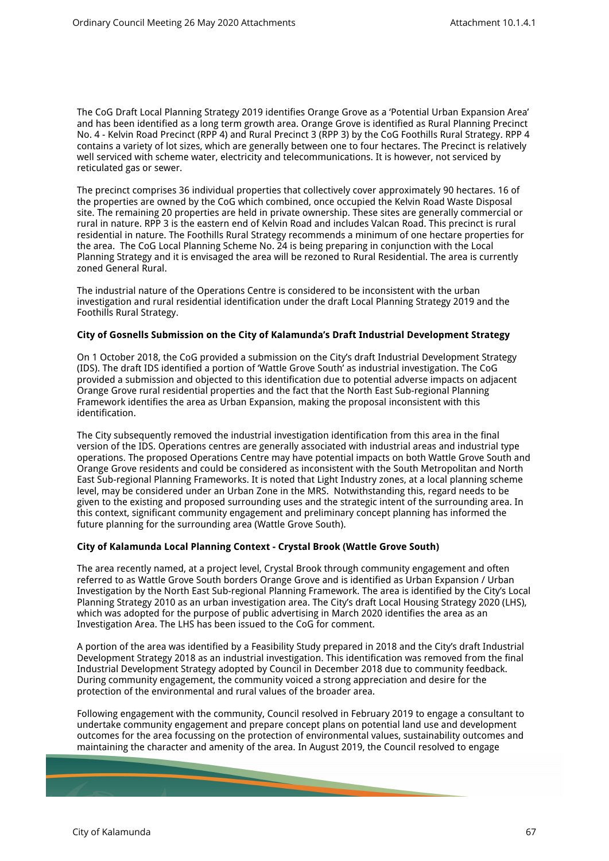The CoG Draft Local Planning Strategy 2019 identifies Orange Grove as a 'Potential Urban Expansion Area' and has been identified as a long term growth area. Orange Grove is identified as Rural Planning Precinct No. 4 - Kelvin Road Precinct (RPP 4) and Rural Precinct 3 (RPP 3) by the CoG Foothills Rural Strategy. RPP 4 contains a variety of lot sizes, which are generally between one to four hectares. The Precinct is relatively well serviced with scheme water, electricity and telecommunications. It is however, not serviced by reticulated gas or sewer.

The precinct comprises 36 individual properties that collectively cover approximately 90 hectares. 16 of the properties are owned by the CoG which combined, once occupied the Kelvin Road Waste Disposal site. The remaining 20 properties are held in private ownership. These sites are generally commercial or rural in nature. RPP 3 is the eastern end of Kelvin Road and includes Valcan Road. This precinct is rural residential in nature. The Foothills Rural Strategy recommends a minimum of one hectare properties for the area. The CoG Local Planning Scheme No. 24 is being preparing in conjunction with the Local Planning Strategy and it is envisaged the area will be rezoned to Rural Residential. The area is currently zoned General Rural.

The industrial nature of the Operations Centre is considered to be inconsistent with the urban investigation and rural residential identification under the draft Local Planning Strategy 2019 and the Foothills Rural Strategy.

## **City of Gosnells Submission on the City of Kalamunda's Draft Industrial Development Strategy**

On 1 October 2018, the CoG provided a submission on the City's draft Industrial Development Strategy (IDS). The draft IDS identified a portion of 'Wattle Grove South' as industrial investigation. The CoG provided a submission and objected to this identification due to potential adverse impacts on adjacent Orange Grove rural residential properties and the fact that the North East Sub-regional Planning Framework identifies the area as Urban Expansion, making the proposal inconsistent with this identification.

The City subsequently removed the industrial investigation identification from this area in the final version of the IDS. Operations centres are generally associated with industrial areas and industrial type operations. The proposed Operations Centre may have potential impacts on both Wattle Grove South and Orange Grove residents and could be considered as inconsistent with the South Metropolitan and North East Sub-regional Planning Frameworks. It is noted that Light Industry zones, at a local planning scheme level, may be considered under an Urban Zone in the MRS. Notwithstanding this, regard needs to be given to the existing and proposed surrounding uses and the strategic intent of the surrounding area. In this context, significant community engagement and preliminary concept planning has informed the future planning for the surrounding area (Wattle Grove South).

## **City of Kalamunda Local Planning Context - Crystal Brook (Wattle Grove South)**

The area recently named, at a project level, Crystal Brook through community engagement and often referred to as Wattle Grove South borders Orange Grove and is identified as Urban Expansion / Urban Investigation by the North East Sub-regional Planning Framework. The area is identified by the City's Local Planning Strategy 2010 as an urban investigation area. The City's draft Local Housing Strategy 2020 (LHS), which was adopted for the purpose of public advertising in March 2020 identifies the area as an Investigation Area. The LHS has been issued to the CoG for comment.

A portion of the area was identified by a Feasibility Study prepared in 2018 and the City's draft Industrial Development Strategy 2018 as an industrial investigation. This identification was removed from the final Industrial Development Strategy adopted by Council in December 2018 due to community feedback. During community engagement, the community voiced a strong appreciation and desire for the protection of the environmental and rural values of the broader area.

Following engagement with the community, Council resolved in February 2019 to engage a consultant to undertake community engagement and prepare concept plans on potential land use and development outcomes for the area focussing on the protection of environmental values, sustainability outcomes and maintaining the character and amenity of the area. In August 2019, the Council resolved to engage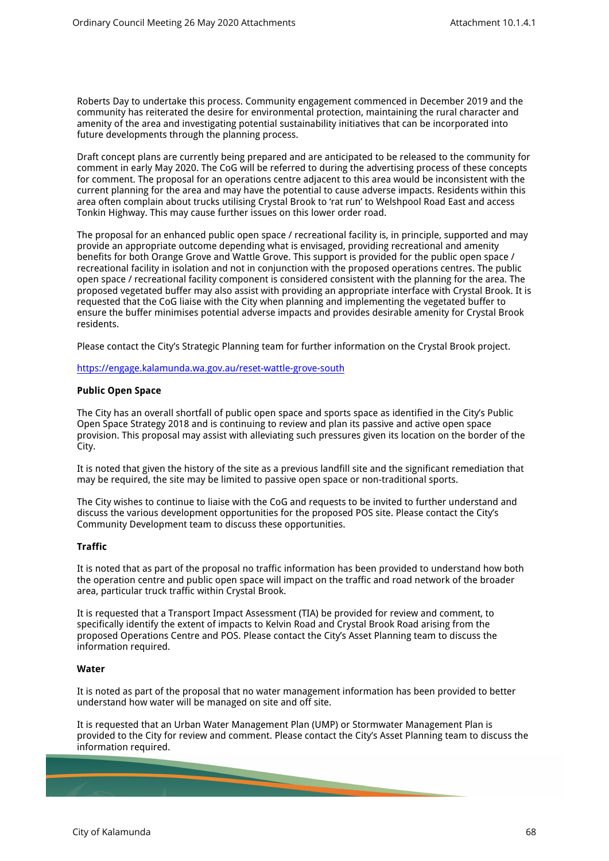Roberts Day to undertake this process. Community engagement commenced in December 2019 and the community has reiterated the desire for environmental protection, maintaining the rural character and amenity of the area and investigating potential sustainability initiatives that can be incorporated into future developments through the planning process.

Draft concept plans are currently being prepared and are anticipated to be released to the community for comment in early May 2020. The CoG will be referred to during the advertising process of these concepts for comment. The proposal for an operations centre adjacent to this area would be inconsistent with the current planning for the area and may have the potential to cause adverse impacts. Residents within this area often complain about trucks utilising Crystal Brook to 'rat run' to Welshpool Road East and access Tonkin Highway. This may cause further issues on this lower order road.

The proposal for an enhanced public open space / recreational facility is, in principle, supported and may provide an appropriate outcome depending what is envisaged, providing recreational and amenity benefits for both Orange Grove and Wattle Grove. This support is provided for the public open space / recreational facility in isolation and not in conjunction with the proposed operations centres. The public open space / recreational facility component is considered consistent with the planning for the area. The proposed vegetated buffer may also assist with providing an appropriate interface with Crystal Brook. It is requested that the CoG liaise with the City when planning and implementing the vegetated buffer to ensure the buffer minimises potential adverse impacts and provides desirable amenity for Crystal Brook residents.

Please contact the City's Strategic Planning team for further information on the Crystal Brook project.

<https://engage.kalamunda.wa.gov.au/reset-wattle-grove-south>

## **Public Open Space**

The City has an overall shortfall of public open space and sports space as identified in the City's Public Open Space Strategy 2018 and is continuing to review and plan its passive and active open space provision. This proposal may assist with alleviating such pressures given its location on the border of the City.

It is noted that given the history of the site as a previous landfill site and the significant remediation that may be required, the site may be limited to passive open space or non-traditional sports.

The City wishes to continue to liaise with the CoG and requests to be invited to further understand and discuss the various development opportunities for the proposed POS site. Please contact the City's Community Development team to discuss these opportunities.

## **Traffic**

It is noted that as part of the proposal no traffic information has been provided to understand how both the operation centre and public open space will impact on the traffic and road network of the broader area, particular truck traffic within Crystal Brook.

It is requested that a Transport Impact Assessment (TIA) be provided for review and comment, to specifically identify the extent of impacts to Kelvin Road and Crystal Brook Road arising from the proposed Operations Centre and POS. Please contact the City's Asset Planning team to discuss the information required.

#### **Water**

It is noted as part of the proposal that no water management information has been provided to better understand how water will be managed on site and off site.

It is requested that an Urban Water Management Plan (UMP) or Stormwater Management Plan is provided to the City for review and comment. Please contact the City's Asset Planning team to discuss the information required.